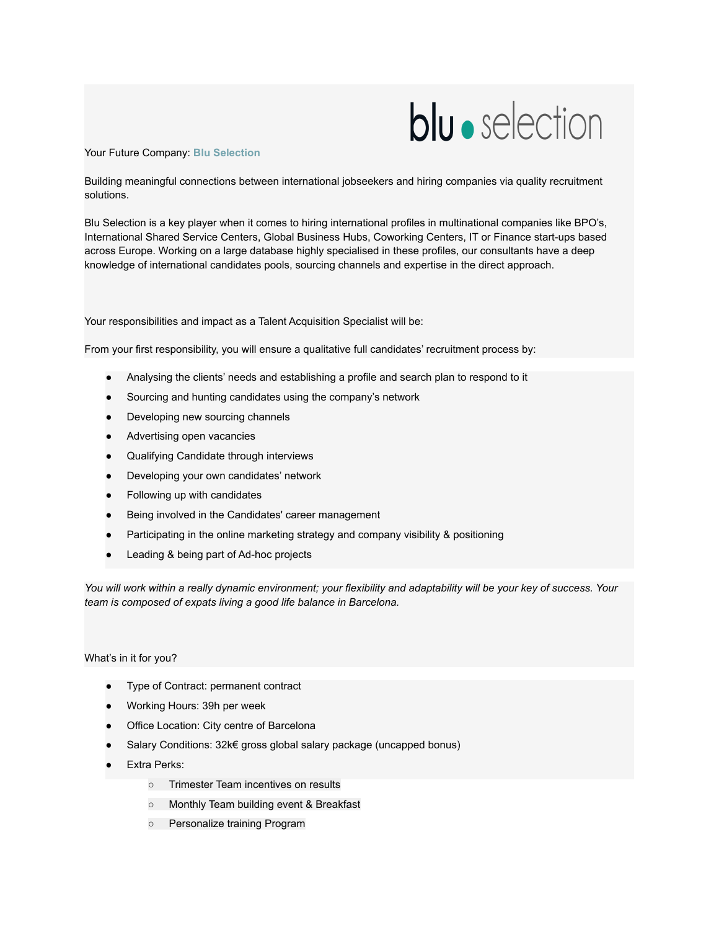## **blu** · selection

## Your Future Company: **Blu Selection**

Building meaningful connections between international jobseekers and hiring companies via quality recruitment solutions.

Blu Selection is a key player when it comes to hiring international profiles in multinational companies like BPO's, International Shared Service Centers, Global Business Hubs, Coworking Centers, IT or Finance start-ups based across Europe. Working on a large database highly specialised in these profiles, our consultants have a deep knowledge of international candidates pools, sourcing channels and expertise in the direct approach.

Your responsibilities and impact as a Talent Acquisition Specialist will be:

From your first responsibility, you will ensure a qualitative full candidates' recruitment process by:

- Analysing the clients' needs and establishing a profile and search plan to respond to it
- Sourcing and hunting candidates using the company's network
- Developing new sourcing channels
- Advertising open vacancies
- Qualifying Candidate through interviews
- Developing your own candidates' network
- Following up with candidates
- Being involved in the Candidates' career management
- Participating in the online marketing strategy and company visibility & positioning
- Leading & being part of Ad-hoc projects

*You will work within a really dynamic environment; your flexibility and adaptability will be your key of success. Your team is composed of expats living a good life balance in Barcelona.*

What's in it for you?

- Type of Contract: permanent contract
- Working Hours: 39h per week
- Office Location: City centre of Barcelona
- Salary Conditions: 32k€ gross global salary package (uncapped bonus)
- **Extra Perks:** 
	- Trimester Team incentives on results
	- Monthly Team building event & Breakfast
	- Personalize training Program